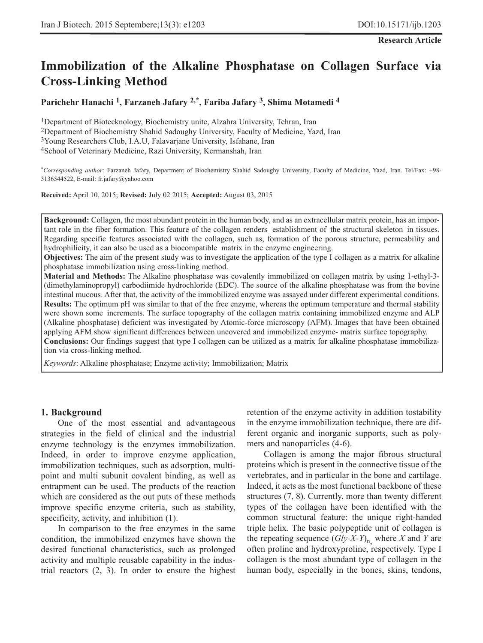# **Immobilization of the Alkaline Phosphatase on Collagen Surface via Cross-Linking Method**

**Parichehr Hanachi 1, Farzaneh Jafary 2,\*, Fariba Jafary 3, Shima Motamedi 4**

1Department of Biotecknology, Biochemistry unite, Alzahra University, Tehran, Iran 2Department of Biochemistry Shahid Sadoughy University, Faculty of Medicine, Yazd, Iran 3Young Researchers Club, I.A.U, Falavarjane University, Isfahane, Iran 4School of Veterinary Medicine, Razi University, Kermanshah, Iran

\**Corresponding author*: Farzaneh Jafary, Department of Biochemistry Shahid Sadoughy University, Faculty of Medicine, Yazd, Iran. Tel/Fax: +98- 3136544522, E-mail: fr.jafary@yahoo.com

**Received:** April 10, 2015; **Revised:** July 02 2015; **Accepted:** August 03, 2015

**Background:** Collagen, the most abundant protein in the human body, and as an extracellular matrix protein, has an important role in the fiber formation. This feature of the collagen renders establishment of the structural skeleton in tissues. Regarding specific features associated with the collagen, such as, formation of the porous structure, permeability and hydrophilicity, it can also be used as a biocompatible matrix in the enzyme engineering.

**Objectives:** The aim of the present study was to investigate the application of the type I collagen as a matrix for alkaline phosphatase immobilization using cross-linking method.

**Material and Methods:** The Alkaline phosphatase was covalently immobilized on collagen matrix by using 1-ethyl-3- (dimethylaminopropyl) carbodiimide hydrochloride (EDC). The source of the alkaline phosphatase was from the bovine intestinal mucous. After that, the activity of the immobilized enzyme was assayed under different experimental conditions. **Results:** The optimum pH was similar to that of the free enzyme, whereas the optimum temperature and thermal stability were shown some increments. The surface topography of the collagen matrix containing immobilized enzyme and ALP (Alkaline phosphatase) deficient was investigated by Atomic-force microscopy (AFM). Images that have been obtained applying AFM show significant differences between uncovered and immobilized enzyme- matrix surface topography. **Conclusions:** Our findings suggest that type I collagen can be utilized as a matrix for alkaline phosphatase immobilization via cross-linking method.

*Keywords*: Alkaline phosphatase; Enzyme activity; Immobilization; Matrix

#### **1. Background**

One of the most essential and advantageous strategies in the field of clinical and the industrial enzyme technology is the enzymes immobilization. Indeed, in order to improve enzyme application, immobilization techniques, such as adsorption, multipoint and multi subunit covalent binding, as well as entrapment can be used. The products of the reaction which are considered as the out puts of these methods improve specific enzyme criteria, such as stability, specificity, activity, and inhibition (1).

In comparison to the free enzymes in the same condition, the immobilized enzymes have shown the desired functional characteristics, such as prolonged activity and multiple reusable capability in the industrial reactors (2, 3). In order to ensure the highest retention of the enzyme activity in addition tostability in the enzyme immobilization technique, there are different organic and inorganic supports, such as polymers and nanoparticles (4-6).

Collagen is among the major fibrous structural proteins which is present in the connective tissue of the vertebrates, and in particular in the bone and cartilage. Indeed, it acts as the most functional backbone of these structures (7, 8). Currently, more than twenty different types of the collagen have been identified with the common structural feature: the unique right-handed triple helix. The basic polypeptide unit of collagen is the repeating sequence  $(Gly-X-Y)$ <sub>n</sub>, where *X* and *Y* are often proline and hydroxyproline, respectively. Type I collagen is the most abundant type of collagen in the human body, especially in the bones, skins, tendons,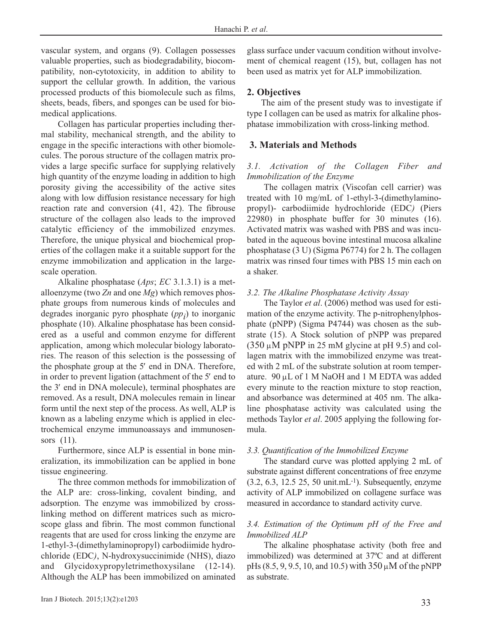vascular system, and organs (9). Collagen possesses valuable properties, such as biodegradability, biocompatibility, non-cytotoxicity, in addition to ability to support the cellular growth. In addition, the various processed products of this biomolecule such as films, sheets, beads, fibers, and sponges can be used for biomedical applications.

Collagen has particular properties including thermal stability, mechanical strength, and the ability to engage in the specific interactions with other biomolecules. The porous structure of the collagen matrix provides a large specific surface for supplying relatively high quantity of the enzyme loading in addition to high porosity giving the accessibility of the active sites along with low diffusion resistance necessary for high reaction rate and conversion (41, 42). The fibrouse structure of the collagen also leads to the improved catalytic efficiency of the immobilized enzymes. Therefore, the unique physical and biochemical properties of the collagen make it a suitable support for the enzyme immobilization and application in the largescale operation.

Alkaline phosphatase (*Aps*; *EC* 3.1.3.1) is a metalloenzyme (two *Zn* and one *Mg*) which removes phosphate groups from numerous kinds of molecules and degrades inorganic pyro phosphate  $(pp_i)$  to inorganic phosphate (10). Alkaline phosphatase has been considered as a useful and common enzyme for different application, among which molecular biology laboratories. The reason of this selection is the possessing of the phosphate group at the 5′ end in DNA. Therefore, in order to prevent ligation (attachment of the 5′ end to the 3′ end in DNA molecule), terminal phosphates are removed. As a result, DNA molecules remain in linear form until the next step of the process. As well, ALP is known as a labeling enzyme which is applied in electrochemical enzyme immunoassays and immunosensors (11).

Furthermore, since ALP is essential in bone mineralization, its immobilization can be applied in bone tissue engineering.

The three common methods for immobilization of the ALP are: cross-linking, covalent binding, and adsorption. The enzyme was immobilized by crosslinking method on different matrices such as microscope glass and fibrin. The most common functional reagents that are used for cross linking the enzyme are 1-ethyl-3-(dimethylaminopropyl) carbodiimide hydrochloride (EDC*)*, N-hydroxysuccinimide (NHS), diazo and Glycidoxypropyletrimethoxysilane (12-14). Although the ALP has been immobilized on aminated glass surface under vacuum condition without involvement of chemical reagent (15), but, collagen has not been used as matrix yet for ALP immobilization.

# **2. Objectives**

The aim of the present study was to investigate if type I collagen can be used as matrix for alkaline phosphatase immobilization with cross-linking method.

# **3. Materials and Methods**

# *3.1. Activation of the Collagen Fiber and Immobilization of the Enzyme*

The collagen matrix (Viscofan cell carrier) was treated with 10 mg/mL of 1-ethyl-3-(dimethylaminopropyl)- carbodiimide hydrochloride (EDC*)* (Piers 22980) in phosphate buffer for 30 minutes (16). Activated matrix was washed with PBS and was incubated in the aqueous bovine intestinal mucosa alkaline phosphatase (3 U) (Sigma P6774) for 2 h. The collagen matrix was rinsed four times with PBS 15 min each on a shaker.

### *3.2. The Alkaline Phosphatase Activity Assay*

The Taylor *et al*. (2006) method was used for estimation of the enzyme activity. The p-nitrophenylphosphate (pNPP) (Sigma P4744) was chosen as the substrate (15). A Stock solution of pNPP was prepared  $(350 \mu M)$  pNPP in 25 mM glycine at pH 9.5) and collagen matrix with the immobilized enzyme was treated with 2 mL of the substrate solution at room temperature. 90 μL of 1 M NaOH and 1 M EDTA was added every minute to the reaction mixture to stop reaction, and absorbance was determined at 405 nm. The alkaline phosphatase activity was calculated using the methods Taylor *et al*. 2005 applying the following formula.

### *3.3. Quantification of the Immobilized Enzyme*

The standard curve was plotted applying 2 mL of substrate against different concentrations of free enzyme (3.2, 6.3, 12.5 25, 50 unit.mL-1). Subsequently, enzyme activity of ALP immobilized on collagene surface was measured in accordance to standard activity curve.

# *3.4. Estimation of the Optimum pH of the Free and Immobilized ALP*

The alkaline phosphatase activity (both free and immobilized) was determined at 37ºC and at different pHs  $(8.5, 9, 9.5, 10, \text{ and } 10.5)$  with  $350 \,\mu\text{M}$  of the pNPP as substrate.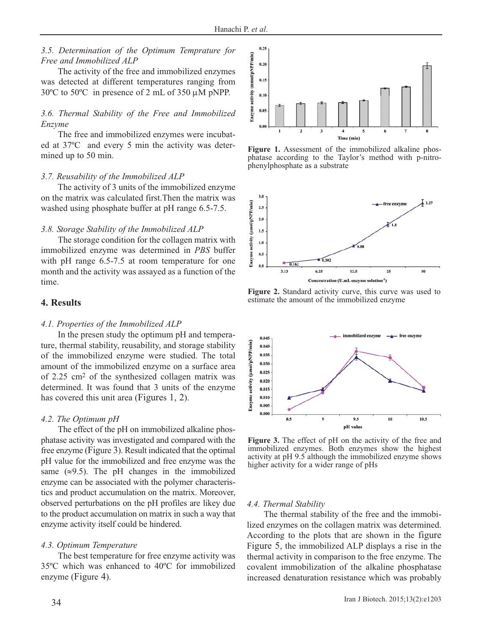### *3.5. Determination of the Optimum Temprature for Free and Immobilized ALP*

The activity of the free and immobilized enzymes was detected at different temperatures ranging from 30ºC to 50ºC in presence of 2 mL of 350 μM pNPP.

# *3.6. Thermal Stability of the Free and Immobilized Enzyme*

The free and immobilized enzymes were incubated at 37ºC and every 5 min the activity was determined up to 50 min.

#### *3.7. Reusability of the Immobilized ALP*

The activity of 3 units of the immobilized enzyme on the matrix was calculated first.Then the matrix was washed using phosphate buffer at pH range 6.5-7.5.

#### *3.8. Storage Stability of the Immobilized ALP*

The storage condition for the collagen matrix with immobilized enzyme was determined in *PBS* buffer with pH range 6.5-7.5 at room temperature for one month and the activity was assayed as a function of the time.

# **4. Results**

### *4.1. Properties of the Immobilized ALP*

In the presen study the optimum pH and temperature, thermal stability, reusability, and storage stability of the immobilized enzyme were studied. The total amount of the immobilized enzyme on a surface area of 2.25 cm2 of the synthesized collagen matrix was determined. It was found that 3 units of the enzyme has covered this unit area (Figures 1, 2).

### *4.2. The Optimum pH*

The effect of the pH on immobilized alkaline phosphatase activity was investigated and compared with the free enzyme (Figure 3). Result indicated that the optimal pH value for the immobilized and free enzyme was the same  $(\approx 9.5)$ . The pH changes in the immobilized enzyme can be associated with the polymer characteristics and product accumulation on the matrix. Moreover, observed perturbations on the pH profiles are likey due to the product accumulation on matrix in such a way that enzyme activity itself could be hindered.

#### *4.3. Optimum Temperature*

The best temperature for free enzyme activity was 35ºC which was enhanced to 40ºC for immobilized enzyme (Figure 4).



**Figure 1.** Assessment of the immobilized alkaline phosphatase according to the Taylor's method with p-nitrophenylphosphate as a substrate



**Figure 2.** Standard activity curve, this curve was used to estimate the amount of the immobilized enzyme



**Figure 3.** The effect of pH on the activity of the free and immobilized enzymes. Both enzymes show the highest activity at pH 9.5 although the immobilized enzyme shows higher activity for a wider range of pHs

#### *4.4. Thermal Stability*

The thermal stability of the free and the immobilized enzymes on the collagen matrix was determined. According to the plots that are shown in the figure Figure 5, the immobilized ALP displays a rise in the thermal activity in comparison to the free enzyme. The covalent immobilization of the alkaline phosphatase increased denaturation resistance which was probably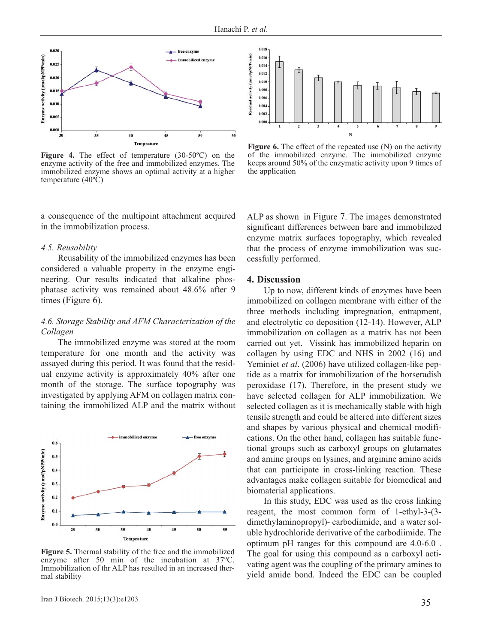

**Figure 4.** The effect of temperature (30-50ºC) on the enzyme activity of the free and immobilized enzymes. The immobilized enzyme shows an optimal activity at a higher temperature (40ºC)

a consequence of the multipoint attachment acquired in the immobilization process.

### *4.5. Reusability*

Reusability of the immobilized enzymes has been considered a valuable property in the enzyme engineering. Our results indicated that alkaline phosphatase activity was remained about 48.6% after 9 times (Figure 6).

# *4.6. Storage Stability and AFM Characterization of the Collagen*

The immobilized enzyme was stored at the room temperature for one month and the activity was assayed during this period. It was found that the residual enzyme activity is approximately 40% after one month of the storage. The surface topography was investigated by applying AFM on collagen matrix containing the immobilized ALP and the matrix without



**Figure 5.** Thermal stability of the free and the immobilized enzyme after 50 min of the incubation at 37ºC. Immobilization of thr ALP has resulted in an increased thermal stability



**Figure 6.** The effect of the repeated use (N) on the activity of the immobilized enzyme. The immobilized enzyme keeps around 50% of the enzymatic activity upon 9 times of the application

ALP as shown in Figure 7. The images demonstrated significant differences between bare and immobilized enzyme matrix surfaces topography, which revealed that the process of enzyme immobilization was successfully performed.

### **4. Discussion**

Up to now, different kinds of enzymes have been immobilized on collagen membrane with either of the three methods including impregnation, entrapment, and electrolytic co deposition (12-14). However, ALP immobilization on collagen as a matrix has not been carried out yet. Vissink has immobilized heparin on collagen by using EDC and NHS in 2002 (16) and Yeminiet *et al*. (2006) have utilized collagen-like peptide as a matrix for immobilization of the horseradish peroxidase (17). Therefore, in the present study we have selected collagen for ALP immobilization. We selected collagen as it is mechanically stable with high tensile strength and could be altered into different sizes and shapes by various physical and chemical modifications. On the other hand, collagen has suitable functional groups such as carboxyl groups on glutamates and amine groups on lysines, and arginine amino acids that can participate in cross-linking reaction. These advantages make collagen suitable for biomedical and biomaterial applications.

In this study, EDC was used as the cross linking reagent, the most common form of 1-ethyl-3-(3 dimethylaminopropyl)- carbodiimide, and a water soluble hydrochloride derivative of the carbodiimide. The optimum pH ranges for this compound are 4.0-6.0 . The goal for using this compound as a carboxyl activating agent was the coupling of the primary amines to yield amide bond. Indeed the EDC can be coupled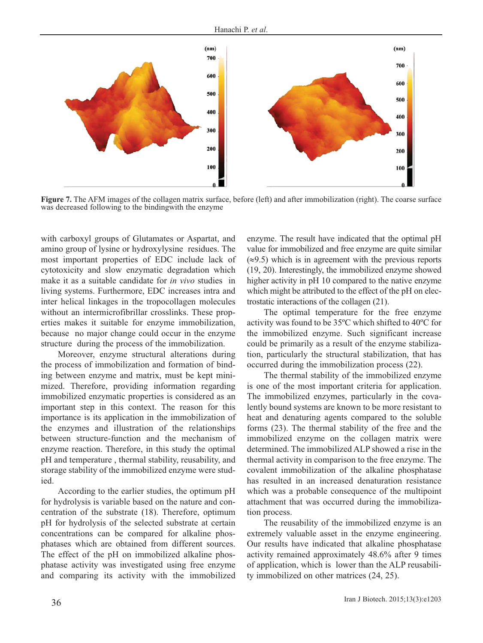

**Figure 7.** The AFM images of the collagen matrix surface, before (left) and after immobilization (right). The coarse surface was decreased following to the bindingwith the enzyme

with carboxyl groups of Glutamates or Aspartat, and amino group of lysine or hydroxylysine residues. The most important properties of EDC include lack of cytotoxicity and slow enzymatic degradation which make it as a suitable candidate for *in vivo* studies in living systems. Furthermore, EDC increases intra and inter helical linkages in the tropocollagen molecules without an intermicrofibrillar crosslinks. These properties makes it suitable for enzyme immobilization, because no major change could occur in the enzyme structure during the process of the immobilization.

Moreover, enzyme structural alterations during the process of immobilization and formation of binding between enzyme and matrix, must be kept minimized. Therefore, providing information regarding immobilized enzymatic properties is considered as an important step in this context. The reason for this importance is its application in the immobilization of the enzymes and illustration of the relationships between structure-function and the mechanism of enzyme reaction. Therefore, in this study the optimal pH and temperature , thermal stability, reusability, and storage stability of the immobilized enzyme were studied.

According to the earlier studies, the optimum pH for hydrolysis is variable based on the nature and concentration of the substrate (18). Therefore, optimum pH for hydrolysis of the selected substrate at certain concentrations can be compared for alkaline phosphatases which are obtained from different sources. The effect of the pH on immobilized alkaline phosphatase activity was investigated using free enzyme and comparing its activity with the immobilized enzyme. The result have indicated that the optimal pH value for immobilized and free enzyme are quite similar  $(\approx 9.5)$  which is in agreement with the previous reports (19, 20). Interestingly, the immobilized enzyme showed higher activity in pH 10 compared to the native enzyme which might be attributed to the effect of the pH on electrostatic interactions of the collagen (21).

The optimal temperature for the free enzyme activity was found to be 35ºC which shifted to 40ºC for the immobilized enzyme. Such significant increase could be primarily as a result of the enzyme stabilization, particularly the structural stabilization, that has occurred during the immobilization process (22).

The thermal stability of the immobilized enzyme is one of the most important criteria for application. The immobilized enzymes, particularly in the covalently bound systems are known to be more resistant to heat and denaturing agents compared to the soluble forms (23). The thermal stability of the free and the immobilized enzyme on the collagen matrix were determined. The immobilized ALP showed a rise in the thermal activity in comparison to the free enzyme. The covalent immobilization of the alkaline phosphatase has resulted in an increased denaturation resistance which was a probable consequence of the multipoint attachment that was occurred during the immobilization process.

The reusability of the immobilized enzyme is an extremely valuable asset in the enzyme engineering. Our results have indicated that alkaline phosphatase activity remained approximately 48.6% after 9 times of application, which is lower than the ALP reusability immobilized on other matrices (24, 25).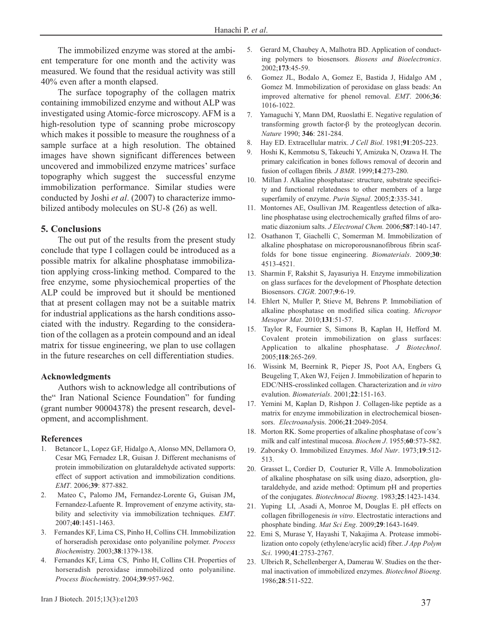The immobilized enzyme was stored at the ambient temperature for one month and the activity was measured. We found that the residual activity was still 40% even after a month elapsed.

The surface topography of the collagen matrix containing immobilized enzyme and without ALP was investigated using Atomic-force microscopy. AFM is a high-resolution type of scanning probe microscopy which makes it possible to measure the roughness of a sample surface at a high resolution. The obtained images have shown significant differences between uncovered and immobilized enzyme matrices' surface topography which suggest the successful enzyme immobilization performance. Similar studies were conducted by Joshi *et al*. (2007) to characterize immobilized antibody molecules on SU-8 (26) as well.

### **5. Conclusions**

The out put of the results from the present study conclude that type I collagen could be introduced as a possible matrix for alkaline phosphatase immobilization applying cross-linking method. Compared to the free enzyme, some physiochemical properties of the ALP could be improved but it should be mentioned that at present collagen may not be a suitable matrix for industrial applications as the harsh conditions associated with the industry. Regarding to the consideration of the collagen as a protein compound and an ideal matrix for tissue engineering, we plan to use collagen in the future researches on cell differentiation studies.

#### **Acknowledgments**

Authors wish to acknowledge all contributions of the" Iran National Science Foundation" for funding (grant number 90004378) the present research, development, and accomplishment.

#### **References**

- 1. Betancor L, Lopez G.F, Hidalgo A, Alonso MN, Dellamora O, Cesar MG, Fernadez LR, Guisan J. Different mechanisms of protein immobilization on glutaraldehyde activated supports: effect of support activation and immobilization conditions. *EMT*. 2006;**39**: 877-882.
- 2. Mateo C, Palomo JM, Fernandez-Lorente G, Guisan JM, Fernandez-Lafuente R. Improvement of enzyme activity, stability and selectivity via immobilization techniques. *EMT*. 2007;**40**:1451-1463.
- 3. Fernandes KF, Lima CS, Pinho H, Collins CH. Immobilization of horseradish peroxidase onto polyaniline polymer. *Process Biochem*istry. 2003;**38**:1379-138.
- 4. Fernandes KF, Lima CS, Pinho H, Collins CH. Properties of horseradish peroxidase immobilized onto polyaniline. *Process Biochem*istry. 2004;**39**:957-962.
- 5. Gerard M, Chaubey A, Malhotra BD. Application of conducting polymers to biosensors*. Biosens and Bioelectronics*. 2002;**173**:45-59.
- 6. Gomez JL, Bodalo A, Gomez E, Bastida J, Hidalgo AM , Gomez M. Immobilization of peroxidase on glass beads: An improved alternative for phenol removal. *EMT*. 2006;**36**: 1016-1022.
- 7. Yamaguchi Y, Mann DM, Ruoslathi E. Negative regulation of transforming growth factor-β by the proteoglycan decorin. *Nature* 1990; **346**: 281-284.
- 8. Hay ED. Extracellular matrix. *J Cell Biol*. 1981;**91**:205-223.
- 9. Hoshi K, Kemmotsu S, Takeuchi Y, Amizuka N, Ozawa H. The primary calcification in bones follows removal of decorin and fusion of collagen fibrils*. J BMR*. 1999;**14**:273-280.
- 10. Millan J. Alkaline phosphatase: structure, substrate specificity and functional relatedness to other members of a large superfamily of enzyme. *Purin Signal*. 2005;**2**:335-341.
- 11. Montornes AE, Osullivan JM. Reagentless detection of alkaline phosphatase using electrochemically grafted films of aromatic diazonium salts. *J Electronal Chem.* 2006;**587**:140-147.
- 12. Osathanon T, Giachelli C, Somerman M. Immobilization of alkaline phosphatase on microporousnanofibrous fibrin scaffolds for bone tissue engineering. *Biomaterials*. 2009;**30**: 4513-4521.
- 13. Sharmin F, Rakshit S, Jayasuriya H. Enzyme immobilization on glass surfaces for the development of Phosphate detection Biosensors. *CIGR*. 2007;**9**:6-19.
- 14. Ehlert N, Muller P, Stieve M, Behrens P. Immobiliation of alkaline phosphatase on modified silica coating. *Micropor Mesopor Mat*. 2010;**131**:51-57.
- 15. Taylor R, Fournier S, Simons B, Kaplan H, Hefford M. Covalent protein immobilization on glass surfaces: Application to alkaline phosphatase. *J Biotechnol*. 2005;**118**:265-269.
- 16. Wissink M, Beernink R, Pieper JS, Poot AA, Engbers G, Beugeling T, Aken WJ, Feijen J. Immobilization of heparin to EDC/NHS-crosslinked collagen. Characterization and *in vitro* evalution. *Biomaterials*. 2001;**22**:151-163.
- 17. Yemini M, Kaplan D, Rishpon J. Collagen-like peptide as a matrix for enzyme immobilization in electrochemical biosensors. *Electroanal*ysis. 2006;**21**:2049-2054.
- 18. Morton RK. Some properties of alkaline phosphatase of cow's milk and calf intestinal mucosa. *Biochem J*. 1955;**60**:573-582.
- 19. Zaborsky O. Immobilized Enzymes. *Mol Nutr*. 1973;**19**:512- 513.
- 20. Grasset L, Cordier D, Couturier R, Ville A. Immobolization of alkaline phosphatase on silk using diazo, adsorption, glutaraldehyde, and azide method: Optimum pH and properties of the conjugates. *Biotechnocal Bioeng*. 1983;**25**:1423-1434.
- 21. Yuping LI, .Asadi A, Monroe M, Douglas E. pH effects on collagen fibrillogenesis *in vitro*. Electrostatic interactions and phosphate binding. *Mat Sci Eng*. 2009;**29**:1643-1649.
- 22. Emi S, Murase Y, Hayashi T, Nakajima A. Protease immobilization onto copoly (ethylene/acrylic acid) fiber. *J App Polym Sci*. 1990;**41**:2753-2767.
- 23. Ulbrich R, Schellenberger A, Damerau W. Studies on the thermal inactivation of immobilized enzymes. *Biotechnol Bioeng*. 1986;**28**:511-522.